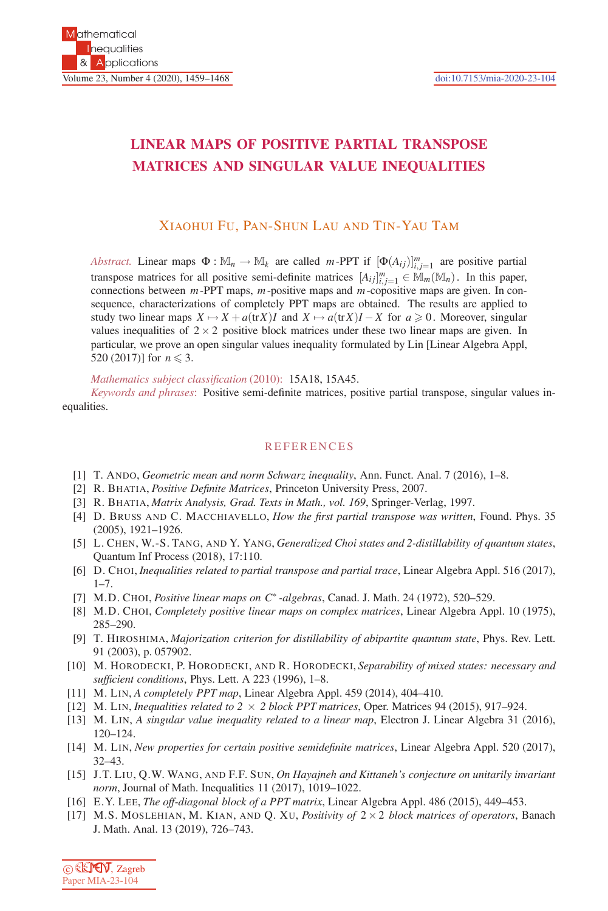## **LINEAR MAPS OF POSITIVE PARTIAL TRANSPOSE MATRICES AND SINGULAR VALUE INEQUALITIES**

## XIAOHUI FU, PAN-SHUN LAU AND TIN-YAU TAM

*Abstract.* Linear maps  $\Phi : \mathbb{M}_n \to \mathbb{M}_k$  are called *m*-PPT if  $[\Phi(A_{ij})]_{i,j=1}^m$  are positive partial transpose matrices for all positive semi-definite matrices  $[A_{ij}]_{i,j=1}^m \in \mathbb{M}_m(\mathbb{M}_n)$ . In this paper, connections between *m*-PPT maps, *m*-positive maps and *m*-copositive maps are given. In consequence, characterizations of completely PPT maps are obtained. The results are applied to study two linear maps  $X \mapsto X + a(\text{tr}X)I$  and  $X \mapsto a(\text{tr}X)I - X$  for  $a \ge 0$ . Moreover, singular values inequalities of  $2 \times 2$  positive block matrices under these two linear maps are given. In particular, we prove an open singular values inequality formulated by Lin [Linear Algebra Appl, 520 (2017)] for  $n \leq 3$ .

*Mathematics subject classification* (2010): 15A18, 15A45.

*Keywords and phrases*: Positive semi-definite matrices, positive partial transpose, singular values inequalities.

## REFERENCES

- [1] T. ANDO, *Geometric mean and norm Schwarz inequality*, Ann. Funct. Anal. 7 (2016), 1–8.
- [2] R. BHATIA, *Positive Definite Matrices*, Princeton University Press, 2007.
- [3] R. BHATIA, *Matrix Analysis, Grad. Texts in Math., vol. 169*, Springer-Verlag, 1997.
- [4] D. BRUSS AND C. MACCHIAVELLO, *How the first partial transpose was written*, Found. Phys. 35 (2005), 1921–1926.
- [5] L. CHEN, W.-S. TANG, AND Y. YANG, *Generalized Choi states and 2-distillability of quantum states*, Quantum Inf Process (2018), 17:110.
- [6] D. CHOI, *Inequalities related to partial transpose and partial trace*, Linear Algebra Appl. 516 (2017),  $1 - 7$ .
- [7] M.D. CHOI, *Positive linear maps on C*∗ *-algebras*, Canad. J. Math. 24 (1972), 520–529.
- [8] M.D. CHOI, *Completely positive linear maps on complex matrices*, Linear Algebra Appl. 10 (1975), 285–290.
- [9] T. HIROSHIMA, *Majorization criterion for distillability of abipartite quantum state*, Phys. Rev. Lett. 91 (2003), p. 057902.
- [10] M. HORODECKI, P. HORODECKI, AND R. HORODECKI, *Separability of mixed states: necessary and sufficient conditions*, Phys. Lett. A 223 (1996), 1–8.
- [11] M. LIN, *A completely PPT map*, Linear Algebra Appl. 459 (2014), 404–410.
- [12] M. LIN, *Inequalities related to 2* × *2 block PPT matrices*, Oper. Matrices 94 (2015), 917–924.
- [13] M. LIN, *A singular value inequality related to a linear map*, Electron J. Linear Algebra 31 (2016), 120–124.
- [14] M. LIN, *New properties for certain positive semidefinite matrices*, Linear Algebra Appl. 520 (2017), 32–43.
- [15] J.T. LIU, Q.W. WANG, AND F.F. SUN, *On Hayajneh and Kittaneh's conjecture on unitarily invariant norm*, Journal of Math. Inequalities 11 (2017), 1019–1022.
- [16] E.Y. LEE, *The off-diagonal block of a PPT matrix*, Linear Algebra Appl. 486 (2015), 449–453.
- [17] M.S. MOSLEHIAN, M. KIAN, AND Q. XU, *Positivity of* 2×2 *block matrices of operators*, Banach J. Math. Anal. 13 (2019), 726–743.